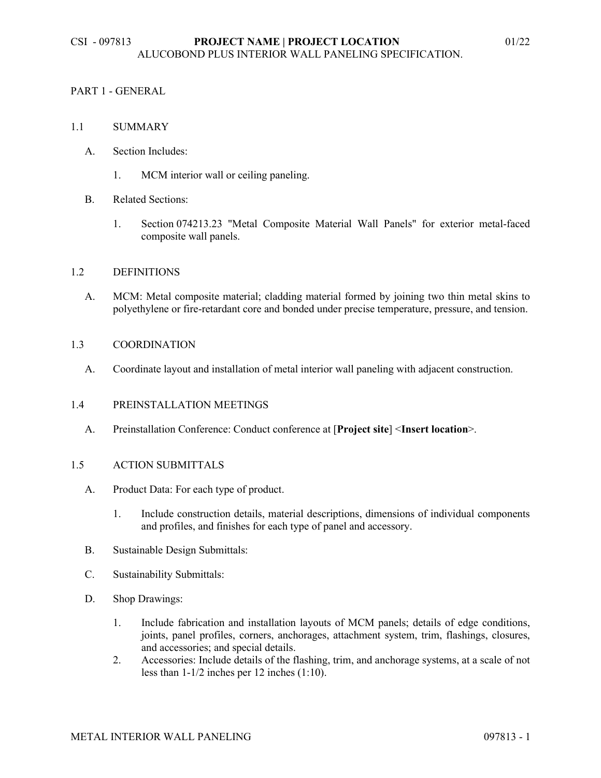## PART 1 - GENERAL

#### 1.1 SUMMARY

- A. Section Includes:
	- 1. MCM interior wall or ceiling paneling.
- B. Related Sections:
	- 1. Section 074213.23 "Metal Composite Material Wall Panels" for exterior metal-faced composite wall panels.

#### 1.2 DEFINITIONS

A. MCM: Metal composite material; cladding material formed by joining two thin metal skins to polyethylene or fire-retardant core and bonded under precise temperature, pressure, and tension.

#### 1.3 COORDINATION

A. Coordinate layout and installation of metal interior wall paneling with adjacent construction.

## 1.4 PREINSTALLATION MEETINGS

A. Preinstallation Conference: Conduct conference at [**Project site**] <**Insert location**>.

#### 1.5 ACTION SUBMITTALS

- A. Product Data: For each type of product.
	- 1. Include construction details, material descriptions, dimensions of individual components and profiles, and finishes for each type of panel and accessory.
- B. Sustainable Design Submittals:
- C. Sustainability Submittals:
- D. Shop Drawings:
	- 1. Include fabrication and installation layouts of MCM panels; details of edge conditions, joints, panel profiles, corners, anchorages, attachment system, trim, flashings, closures, and accessories; and special details.
	- 2. Accessories: Include details of the flashing, trim, and anchorage systems, at a scale of not less than 1-1/2 inches per 12 inches (1:10).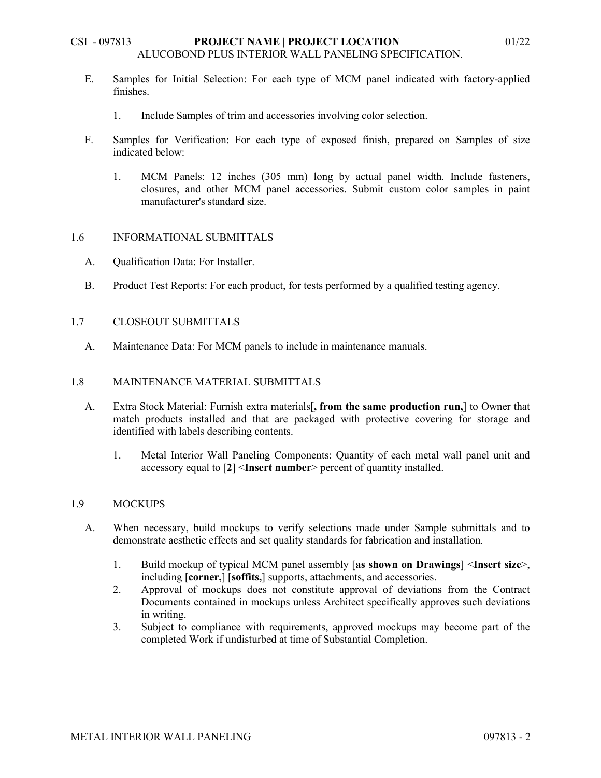- 1. Include Samples of trim and accessories involving color selection.
- F. Samples for Verification: For each type of exposed finish, prepared on Samples of size indicated below:
	- 1. MCM Panels: 12 inches (305 mm) long by actual panel width. Include fasteners, closures, and other MCM panel accessories. Submit custom color samples in paint manufacturer's standard size.

## 1.6 INFORMATIONAL SUBMITTALS

- A. Qualification Data: For Installer.
- B. Product Test Reports: For each product, for tests performed by a qualified testing agency.

## 1.7 CLOSEOUT SUBMITTALS

A. Maintenance Data: For MCM panels to include in maintenance manuals.

## 1.8 MAINTENANCE MATERIAL SUBMITTALS

- A. Extra Stock Material: Furnish extra materials[**, from the same production run,**] to Owner that match products installed and that are packaged with protective covering for storage and identified with labels describing contents.
	- 1. Metal Interior Wall Paneling Components: Quantity of each metal wall panel unit and accessory equal to [**2**] <**Insert number**> percent of quantity installed.

#### 1.9 MOCKUPS

- A. When necessary, build mockups to verify selections made under Sample submittals and to demonstrate aesthetic effects and set quality standards for fabrication and installation.
	- 1. Build mockup of typical MCM panel assembly [**as shown on Drawings**] <**Insert size**>, including [**corner,**] [**soffits,**] supports, attachments, and accessories.
	- 2. Approval of mockups does not constitute approval of deviations from the Contract Documents contained in mockups unless Architect specifically approves such deviations in writing.
	- 3. Subject to compliance with requirements, approved mockups may become part of the completed Work if undisturbed at time of Substantial Completion.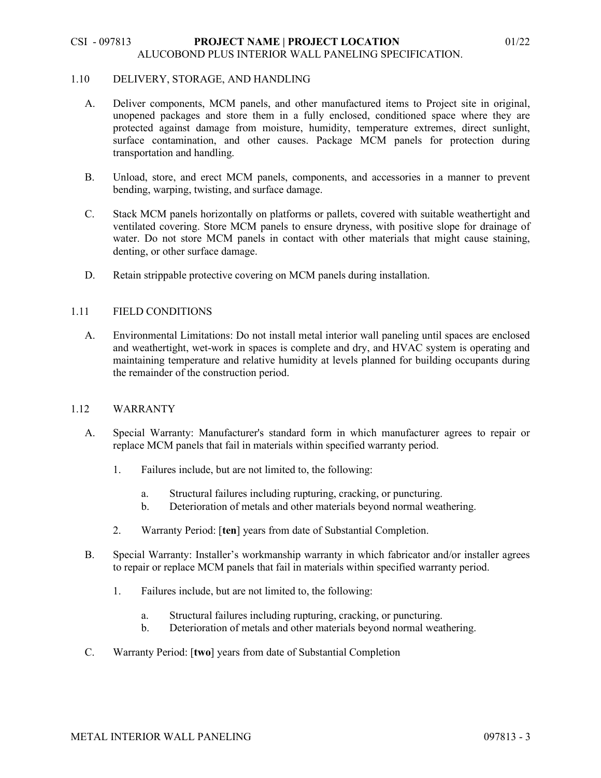#### 1.10 DELIVERY, STORAGE, AND HANDLING

- A. Deliver components, MCM panels, and other manufactured items to Project site in original, unopened packages and store them in a fully enclosed, conditioned space where they are protected against damage from moisture, humidity, temperature extremes, direct sunlight, surface contamination, and other causes. Package MCM panels for protection during transportation and handling.
- B. Unload, store, and erect MCM panels, components, and accessories in a manner to prevent bending, warping, twisting, and surface damage.
- C. Stack MCM panels horizontally on platforms or pallets, covered with suitable weathertight and ventilated covering. Store MCM panels to ensure dryness, with positive slope for drainage of water. Do not store MCM panels in contact with other materials that might cause staining, denting, or other surface damage.
- D. Retain strippable protective covering on MCM panels during installation.

## 1.11 FIELD CONDITIONS

A. Environmental Limitations: Do not install metal interior wall paneling until spaces are enclosed and weathertight, wet-work in spaces is complete and dry, and HVAC system is operating and maintaining temperature and relative humidity at levels planned for building occupants during the remainder of the construction period.

#### 1.12 WARRANTY

- A. Special Warranty: Manufacturer's standard form in which manufacturer agrees to repair or replace MCM panels that fail in materials within specified warranty period.
	- 1. Failures include, but are not limited to, the following:
		- a. Structural failures including rupturing, cracking, or puncturing.
		- b. Deterioration of metals and other materials beyond normal weathering.
	- 2. Warranty Period: [**ten**] years from date of Substantial Completion.
- B. Special Warranty: Installer's workmanship warranty in which fabricator and/or installer agrees to repair or replace MCM panels that fail in materials within specified warranty period.
	- 1. Failures include, but are not limited to, the following:
		- a. Structural failures including rupturing, cracking, or puncturing.
		- b. Deterioration of metals and other materials beyond normal weathering.
- C. Warranty Period: [**two**] years from date of Substantial Completion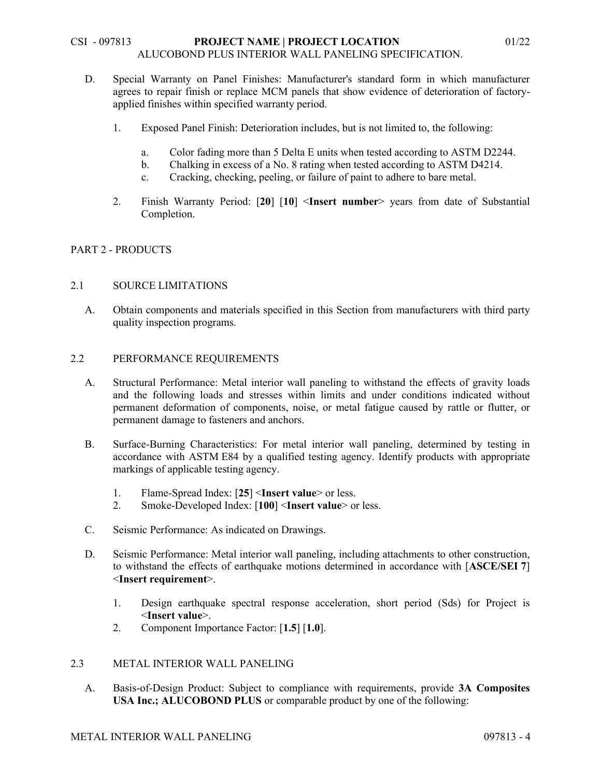- D. Special Warranty on Panel Finishes: Manufacturer's standard form in which manufacturer agrees to repair finish or replace MCM panels that show evidence of deterioration of factoryapplied finishes within specified warranty period.
	- 1. Exposed Panel Finish: Deterioration includes, but is not limited to, the following:
		- a. Color fading more than 5 Delta E units when tested according to ASTM D2244.
		- b. Chalking in excess of a No. 8 rating when tested according to ASTM D4214.
		- c. Cracking, checking, peeling, or failure of paint to adhere to bare metal.
	- 2. Finish Warranty Period: [**20**] [**10**] <**Insert number**> years from date of Substantial Completion.

## PART 2 - PRODUCTS

## 2.1 SOURCE LIMITATIONS

A. Obtain components and materials specified in this Section from manufacturers with third party quality inspection programs.

#### 2.2 PERFORMANCE REQUIREMENTS

- A. Structural Performance: Metal interior wall paneling to withstand the effects of gravity loads and the following loads and stresses within limits and under conditions indicated without permanent deformation of components, noise, or metal fatigue caused by rattle or flutter, or permanent damage to fasteners and anchors.
- B. Surface-Burning Characteristics: For metal interior wall paneling, determined by testing in accordance with ASTM E84 by a qualified testing agency. Identify products with appropriate markings of applicable testing agency.
	- 1. Flame-Spread Index: [**25**] <**Insert value**> or less.
	- 2. Smoke-Developed Index: [**100**] <**Insert value**> or less.
- C. Seismic Performance: As indicated on Drawings.
- D. Seismic Performance: Metal interior wall paneling, including attachments to other construction, to withstand the effects of earthquake motions determined in accordance with [**ASCE/SEI 7**] <**Insert requirement**>.
	- 1. Design earthquake spectral response acceleration, short period (Sds) for Project is <**Insert value**>.
	- 2. Component Importance Factor: [**1.5**] [**1.0**].

## 2.3 METAL INTERIOR WALL PANELING

A. Basis-of-Design Product: Subject to compliance with requirements, provide **3A Composites USA Inc.; ALUCOBOND PLUS** or comparable product by one of the following: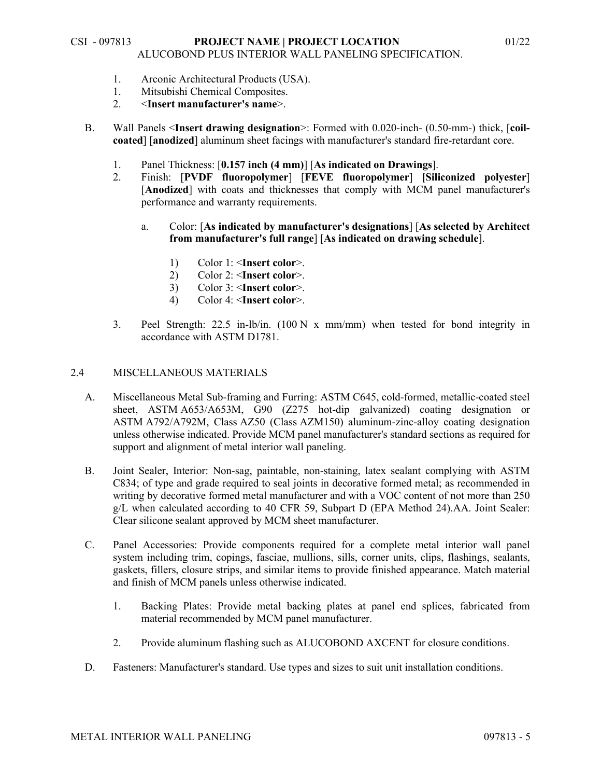- 1. Arconic Architectural Products (USA).
- 1. Mitsubishi Chemical Composites.
- 2. <**Insert manufacturer's name**>.
- B. Wall Panels <**Insert drawing designation**>: Formed with 0.020-inch- (0.50-mm-) thick, [**coilcoated**] [**anodized**] aluminum sheet facings with manufacturer's standard fire-retardant core.
	- 1. Panel Thickness: [**0.157 inch (4 mm)**] [**As indicated on Drawings**].
	- 2. Finish: [**PVDF fluoropolymer**] [**FEVE fluoropolymer**] **[Siliconized polyester**] [Anodized] with coats and thicknesses that comply with MCM panel manufacturer's performance and warranty requirements.
		- a. Color: [**As indicated by manufacturer's designations**] [**As selected by Architect from manufacturer's full range**] [**As indicated on drawing schedule**].
			- 1) Color 1: <**Insert color**>.
			- 2) Color 2: <**Insert color**>.
			- 3) Color 3: <**Insert color**>.
			- 4) Color 4: <**Insert color**>.
	- 3. Peel Strength: 22.5 in-lb/in. (100 N x mm/mm) when tested for bond integrity in accordance with ASTM D1781.

# 2.4 MISCELLANEOUS MATERIALS

- A. Miscellaneous Metal Sub-framing and Furring: ASTM C645, cold-formed, metallic-coated steel sheet, ASTM A653/A653M, G90 (Z275 hot-dip galvanized) coating designation or ASTM A792/A792M, Class AZ50 (Class AZM150) aluminum-zinc-alloy coating designation unless otherwise indicated. Provide MCM panel manufacturer's standard sections as required for support and alignment of metal interior wall paneling.
- B. Joint Sealer, Interior: Non-sag, paintable, non-staining, latex sealant complying with ASTM C834; of type and grade required to seal joints in decorative formed metal; as recommended in writing by decorative formed metal manufacturer and with a VOC content of not more than 250 g/L when calculated according to 40 CFR 59, Subpart D (EPA Method 24).AA. Joint Sealer: Clear silicone sealant approved by MCM sheet manufacturer.
- C. Panel Accessories: Provide components required for a complete metal interior wall panel system including trim, copings, fasciae, mullions, sills, corner units, clips, flashings, sealants, gaskets, fillers, closure strips, and similar items to provide finished appearance. Match material and finish of MCM panels unless otherwise indicated.
	- 1. Backing Plates: Provide metal backing plates at panel end splices, fabricated from material recommended by MCM panel manufacturer.
	- 2. Provide aluminum flashing such as ALUCOBOND AXCENT for closure conditions.
- D. Fasteners: Manufacturer's standard. Use types and sizes to suit unit installation conditions.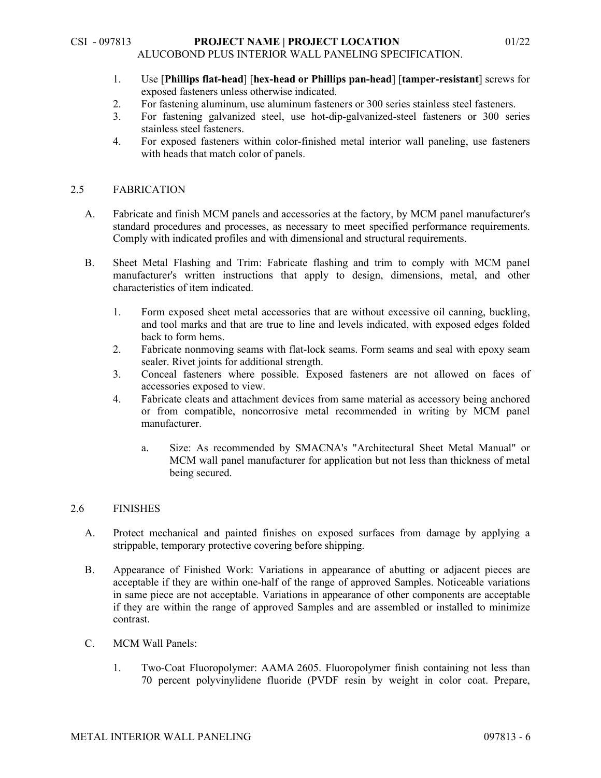- 1. Use [**Phillips flat-head**] [**hex-head or Phillips pan-head**] [**tamper-resistant**] screws for exposed fasteners unless otherwise indicated.
- 2. For fastening aluminum, use aluminum fasteners or 300 series stainless steel fasteners.
- 3. For fastening galvanized steel, use hot-dip-galvanized-steel fasteners or 300 series stainless steel fasteners.
- 4. For exposed fasteners within color-finished metal interior wall paneling, use fasteners with heads that match color of panels.

## 2.5 FABRICATION

- A. Fabricate and finish MCM panels and accessories at the factory, by MCM panel manufacturer's standard procedures and processes, as necessary to meet specified performance requirements. Comply with indicated profiles and with dimensional and structural requirements.
- B. Sheet Metal Flashing and Trim: Fabricate flashing and trim to comply with MCM panel manufacturer's written instructions that apply to design, dimensions, metal, and other characteristics of item indicated.
	- 1. Form exposed sheet metal accessories that are without excessive oil canning, buckling, and tool marks and that are true to line and levels indicated, with exposed edges folded back to form hems.
	- 2. Fabricate nonmoving seams with flat-lock seams. Form seams and seal with epoxy seam sealer. Rivet joints for additional strength.
	- 3. Conceal fasteners where possible. Exposed fasteners are not allowed on faces of accessories exposed to view.
	- 4. Fabricate cleats and attachment devices from same material as accessory being anchored or from compatible, noncorrosive metal recommended in writing by MCM panel manufacturer.
		- a. Size: As recommended by SMACNA's "Architectural Sheet Metal Manual" or MCM wall panel manufacturer for application but not less than thickness of metal being secured.

# 2.6 FINISHES

- A. Protect mechanical and painted finishes on exposed surfaces from damage by applying a strippable, temporary protective covering before shipping.
- B. Appearance of Finished Work: Variations in appearance of abutting or adjacent pieces are acceptable if they are within one-half of the range of approved Samples. Noticeable variations in same piece are not acceptable. Variations in appearance of other components are acceptable if they are within the range of approved Samples and are assembled or installed to minimize contrast.
- C. MCM Wall Panels:
	- 1. Two-Coat Fluoropolymer: AAMA 2605. Fluoropolymer finish containing not less than 70 percent polyvinylidene fluoride (PVDF resin by weight in color coat. Prepare,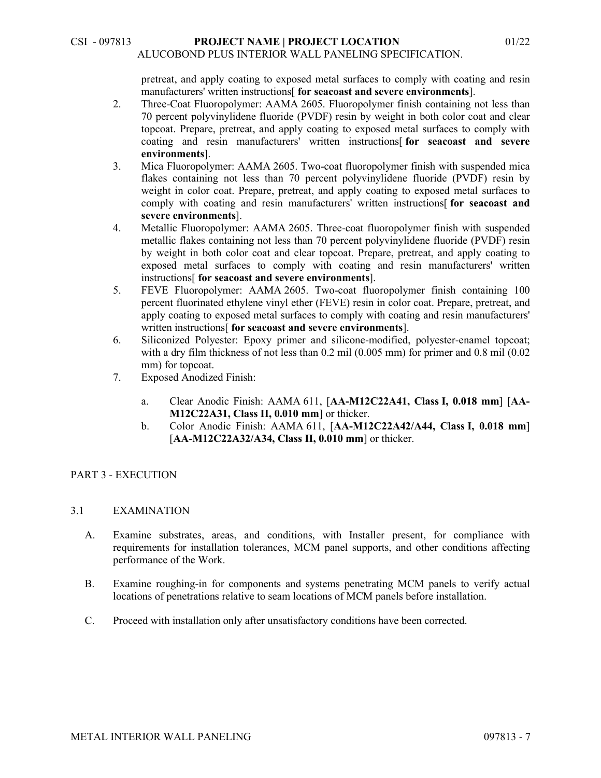pretreat, and apply coating to exposed metal surfaces to comply with coating and resin manufacturers' written instructions[ **for seacoast and severe environments**].

- 2. Three-Coat Fluoropolymer: AAMA 2605. Fluoropolymer finish containing not less than 70 percent polyvinylidene fluoride (PVDF) resin by weight in both color coat and clear topcoat. Prepare, pretreat, and apply coating to exposed metal surfaces to comply with coating and resin manufacturers' written instructions[ **for seacoast and severe environments**].
- 3. Mica Fluoropolymer: AAMA 2605. Two-coat fluoropolymer finish with suspended mica flakes containing not less than 70 percent polyvinylidene fluoride (PVDF) resin by weight in color coat. Prepare, pretreat, and apply coating to exposed metal surfaces to comply with coating and resin manufacturers' written instructions[ **for seacoast and severe environments**].
- 4. Metallic Fluoropolymer: AAMA 2605. Three-coat fluoropolymer finish with suspended metallic flakes containing not less than 70 percent polyvinylidene fluoride (PVDF) resin by weight in both color coat and clear topcoat. Prepare, pretreat, and apply coating to exposed metal surfaces to comply with coating and resin manufacturers' written instructions[ **for seacoast and severe environments**].
- 5. FEVE Fluoropolymer: AAMA 2605. Two-coat fluoropolymer finish containing 100 percent fluorinated ethylene vinyl ether (FEVE) resin in color coat. Prepare, pretreat, and apply coating to exposed metal surfaces to comply with coating and resin manufacturers' written instructions[ **for seacoast and severe environments**].
- 6. Siliconized Polyester: Epoxy primer and silicone-modified, polyester-enamel topcoat; with a dry film thickness of not less than 0.2 mil (0.005 mm) for primer and 0.8 mil (0.02 mm) for topcoat.
- 7. Exposed Anodized Finish:
	- a. Clear Anodic Finish: AAMA 611, [**AA-M12C22A41, Class I, 0.018 mm**] [**AA-M12C22A31, Class II, 0.010 mm**] or thicker.
	- b. Color Anodic Finish: AAMA 611, [**AA-M12C22A42/A44, Class I, 0.018 mm**] [**AA-M12C22A32/A34, Class II, 0.010 mm**] or thicker.

# PART 3 - EXECUTION

## 3.1 EXAMINATION

- A. Examine substrates, areas, and conditions, with Installer present, for compliance with requirements for installation tolerances, MCM panel supports, and other conditions affecting performance of the Work.
- B. Examine roughing-in for components and systems penetrating MCM panels to verify actual locations of penetrations relative to seam locations of MCM panels before installation.
- C. Proceed with installation only after unsatisfactory conditions have been corrected.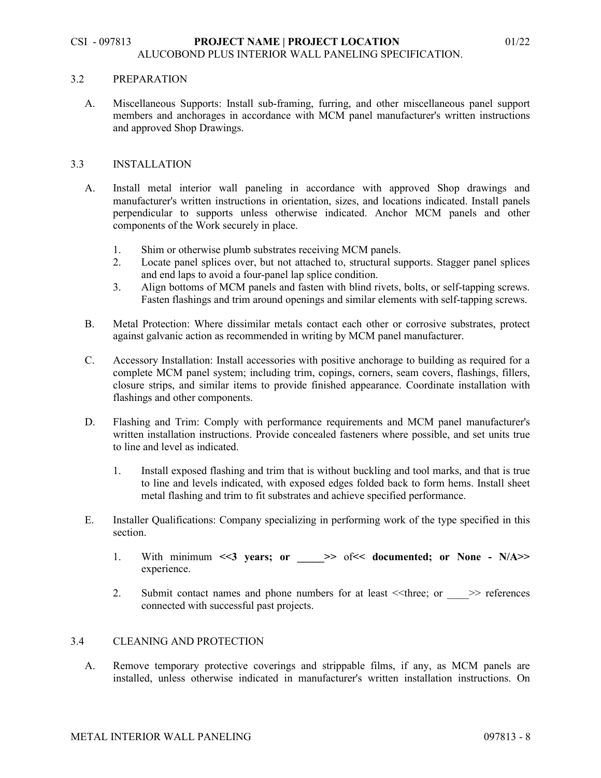#### 3.2 PREPARATION

A. Miscellaneous Supports: Install sub-framing, furring, and other miscellaneous panel support members and anchorages in accordance with MCM panel manufacturer's written instructions and approved Shop Drawings.

## 3.3 INSTALLATION

- A. Install metal interior wall paneling in accordance with approved Shop drawings and manufacturer's written instructions in orientation, sizes, and locations indicated. Install panels perpendicular to supports unless otherwise indicated. Anchor MCM panels and other components of the Work securely in place.
	- 1. Shim or otherwise plumb substrates receiving MCM panels.
	- 2. Locate panel splices over, but not attached to, structural supports. Stagger panel splices and end laps to avoid a four-panel lap splice condition.
	- 3. Align bottoms of MCM panels and fasten with blind rivets, bolts, or self-tapping screws. Fasten flashings and trim around openings and similar elements with self-tapping screws.
- B. Metal Protection: Where dissimilar metals contact each other or corrosive substrates, protect against galvanic action as recommended in writing by MCM panel manufacturer.
- C. Accessory Installation: Install accessories with positive anchorage to building as required for a complete MCM panel system; including trim, copings, corners, seam covers, flashings, fillers, closure strips, and similar items to provide finished appearance. Coordinate installation with flashings and other components.
- D. Flashing and Trim: Comply with performance requirements and MCM panel manufacturer's written installation instructions. Provide concealed fasteners where possible, and set units true to line and level as indicated.
	- 1. Install exposed flashing and trim that is without buckling and tool marks, and that is true to line and levels indicated, with exposed edges folded back to form hems. Install sheet metal flashing and trim to fit substrates and achieve specified performance.
- E. Installer Qualifications: Company specializing in performing work of the type specified in this section.
	- 1. With minimum <<3 years; or  $\Rightarrow$  of << documented; or None N/A>> experience.
	- 2. Submit contact names and phone numbers for at least  $\leq$ three; or  $\geq$  references connected with successful past projects.

#### 3.4 CLEANING AND PROTECTION

A. Remove temporary protective coverings and strippable films, if any, as MCM panels are installed, unless otherwise indicated in manufacturer's written installation instructions. On